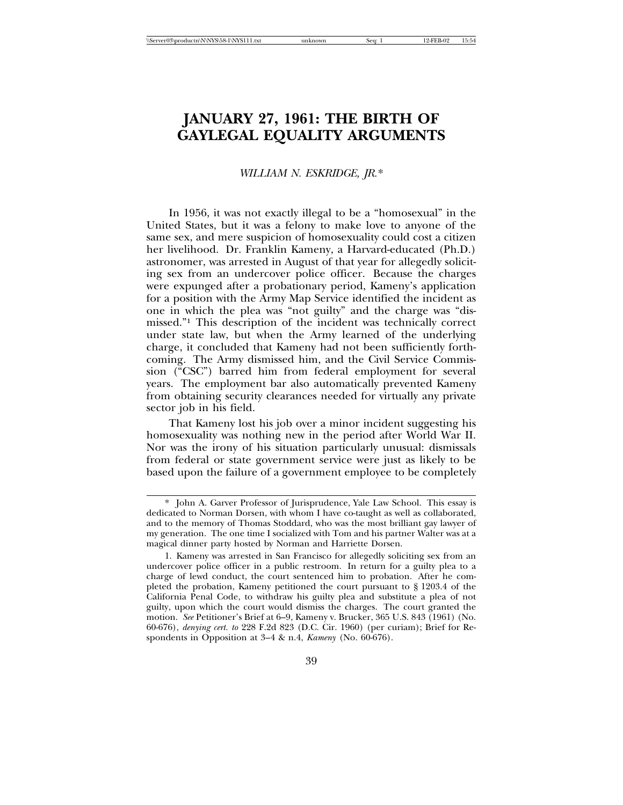# **JANUARY 27, 1961: THE BIRTH OF GAYLEGAL EQUALITY ARGUMENTS**

### *WILLIAM N. ESKRIDGE, JR.*\*

In 1956, it was not exactly illegal to be a "homosexual" in the United States, but it was a felony to make love to anyone of the same sex, and mere suspicion of homosexuality could cost a citizen her livelihood. Dr. Franklin Kameny, a Harvard-educated (Ph.D.) astronomer, was arrested in August of that year for allegedly soliciting sex from an undercover police officer. Because the charges were expunged after a probationary period, Kameny's application for a position with the Army Map Service identified the incident as one in which the plea was "not guilty" and the charge was "dismissed."1 This description of the incident was technically correct under state law, but when the Army learned of the underlying charge, it concluded that Kameny had not been sufficiently forthcoming. The Army dismissed him, and the Civil Service Commission ("CSC") barred him from federal employment for several years. The employment bar also automatically prevented Kameny from obtaining security clearances needed for virtually any private sector job in his field.

That Kameny lost his job over a minor incident suggesting his homosexuality was nothing new in the period after World War II. Nor was the irony of his situation particularly unusual: dismissals from federal or state government service were just as likely to be based upon the failure of a government employee to be completely

<sup>\*</sup> John A. Garver Professor of Jurisprudence, Yale Law School. This essay is dedicated to Norman Dorsen, with whom I have co-taught as well as collaborated, and to the memory of Thomas Stoddard, who was the most brilliant gay lawyer of my generation. The one time I socialized with Tom and his partner Walter was at a magical dinner party hosted by Norman and Harriette Dorsen.

<sup>1.</sup> Kameny was arrested in San Francisco for allegedly soliciting sex from an undercover police officer in a public restroom. In return for a guilty plea to a charge of lewd conduct, the court sentenced him to probation. After he completed the probation, Kameny petitioned the court pursuant to § 1203.4 of the California Penal Code, to withdraw his guilty plea and substitute a plea of not guilty, upon which the court would dismiss the charges. The court granted the motion. *See* Petitioner's Brief at 6–9, Kameny v. Brucker, 365 U.S. 843 (1961) (No. 60-676), *denying cert. to* 228 F.2d 823 (D.C. Cir. 1960) (per curiam); Brief for Respondents in Opposition at 3–4 & n.4, *Kameny* (No. 60-676).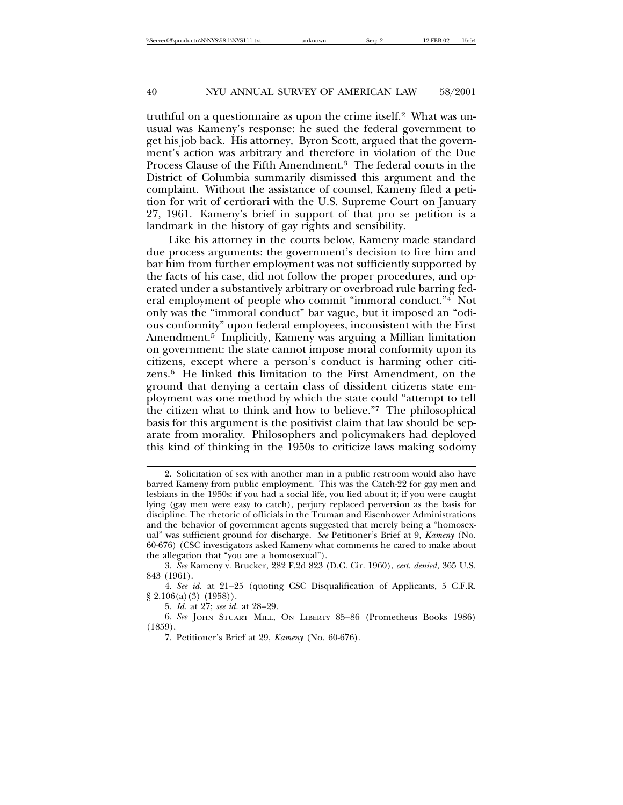truthful on a questionnaire as upon the crime itself.2 What was unusual was Kameny's response: he sued the federal government to get his job back. His attorney, Byron Scott, argued that the government's action was arbitrary and therefore in violation of the Due Process Clause of the Fifth Amendment.3 The federal courts in the District of Columbia summarily dismissed this argument and the complaint. Without the assistance of counsel, Kameny filed a petition for writ of certiorari with the U.S. Supreme Court on January 27, 1961. Kameny's brief in support of that pro se petition is a landmark in the history of gay rights and sensibility.

Like his attorney in the courts below, Kameny made standard due process arguments: the government's decision to fire him and bar him from further employment was not sufficiently supported by the facts of his case, did not follow the proper procedures, and operated under a substantively arbitrary or overbroad rule barring federal employment of people who commit "immoral conduct."4 Not only was the "immoral conduct" bar vague, but it imposed an "odious conformity" upon federal employees, inconsistent with the First Amendment.5 Implicitly, Kameny was arguing a Millian limitation on government: the state cannot impose moral conformity upon its citizens, except where a person's conduct is harming other citizens.6 He linked this limitation to the First Amendment, on the ground that denying a certain class of dissident citizens state employment was one method by which the state could "attempt to tell the citizen what to think and how to believe."7 The philosophical basis for this argument is the positivist claim that law should be separate from morality. Philosophers and policymakers had deployed this kind of thinking in the 1950s to criticize laws making sodomy

<sup>2.</sup> Solicitation of sex with another man in a public restroom would also have barred Kameny from public employment. This was the Catch-22 for gay men and lesbians in the 1950s: if you had a social life, you lied about it; if you were caught lying (gay men were easy to catch), perjury replaced perversion as the basis for discipline. The rhetoric of officials in the Truman and Eisenhower Administrations and the behavior of government agents suggested that merely being a "homosexual" was sufficient ground for discharge. *See* Petitioner's Brief at 9, *Kameny* (No. 60-676) (CSC investigators asked Kameny what comments he cared to make about the allegation that "you are a homosexual").

<sup>3.</sup> *See* Kameny v. Brucker, 282 F.2d 823 (D.C. Cir. 1960), *cert. denied*, 365 U.S. 843 (1961).

<sup>4.</sup> *See id*. at 21–25 (quoting CSC Disqualification of Applicants, 5 C.F.R. § 2.106(a)(3) (1958)).

<sup>5.</sup> *Id*. at 27; *see id*. at 28–29.

<sup>6.</sup> *See* JOHN STUART MILL, ON LIBERTY 85–86 (Prometheus Books 1986) (1859).

<sup>7.</sup> Petitioner's Brief at 29, *Kameny* (No. 60-676).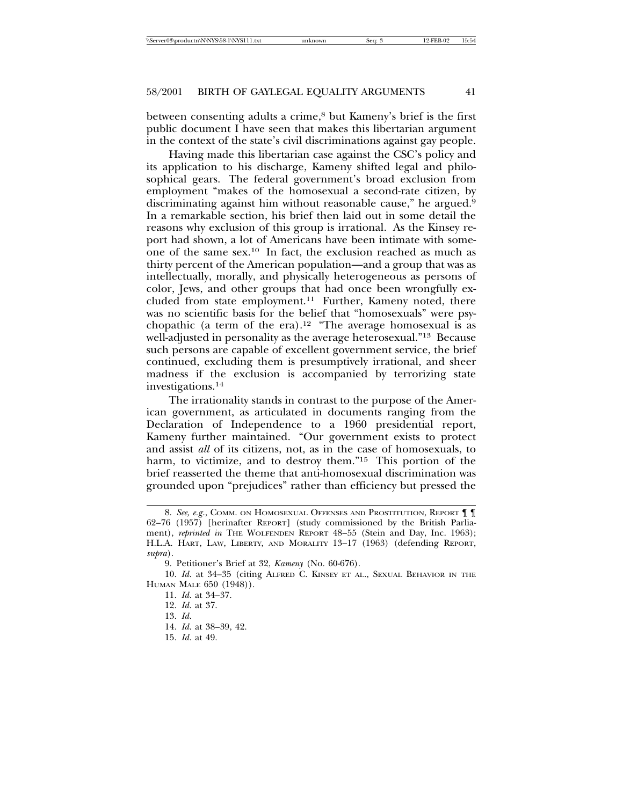between consenting adults a crime,<sup>8</sup> but Kameny's brief is the first public document I have seen that makes this libertarian argument in the context of the state's civil discriminations against gay people.

Having made this libertarian case against the CSC's policy and its application to his discharge, Kameny shifted legal and philosophical gears. The federal government's broad exclusion from employment "makes of the homosexual a second-rate citizen, by discriminating against him without reasonable cause," he argued.9 In a remarkable section, his brief then laid out in some detail the reasons why exclusion of this group is irrational. As the Kinsey report had shown, a lot of Americans have been intimate with someone of the same sex.10 In fact, the exclusion reached as much as thirty percent of the American population—and a group that was as intellectually, morally, and physically heterogeneous as persons of color, Jews, and other groups that had once been wrongfully excluded from state employment.<sup>11</sup> Further, Kameny noted, there was no scientific basis for the belief that "homosexuals" were psychopathic (a term of the era).<sup>12</sup> "The average homosexual is as well-adjusted in personality as the average heterosexual."13 Because such persons are capable of excellent government service, the brief continued, excluding them is presumptively irrational, and sheer madness if the exclusion is accompanied by terrorizing state investigations.14

The irrationality stands in contrast to the purpose of the American government, as articulated in documents ranging from the Declaration of Independence to a 1960 presidential report, Kameny further maintained. "Our government exists to protect and assist *all* of its citizens, not, as in the case of homosexuals, to harm, to victimize, and to destroy them."<sup>15</sup> This portion of the brief reasserted the theme that anti-homosexual discrimination was grounded upon "prejudices" rather than efficiency but pressed the

15. *Id*. at 49.

<sup>8.</sup> See, e.g., COMM. ON HOMOSEXUAL OFFENSES AND PROSTITUTION, REPORT **| |** 62–76 (1957) [herinafter REPORT] (study commissioned by the British Parliament), *reprinted in* THE WOLFENDEN REPORT 48–55 (Stein and Day, Inc. 1963); H.L.A. HART, LAW, LIBERTY, AND MORALITY 13–17 (1963) (defending REPORT, *supra*).

<sup>9.</sup> Petitioner's Brief at 32, *Kameny* (No. 60-676).

<sup>10.</sup> *Id*. at 34–35 (citing ALFRED C. KINSEY ET AL., SEXUAL BEHAVIOR IN THE HUMAN MALE 650 (1948)).

<sup>11.</sup> *Id*. at 34–37.

<sup>12.</sup> *Id*. at 37.

<sup>13.</sup> *Id*.

<sup>14.</sup> *Id*. at 38–39, 42.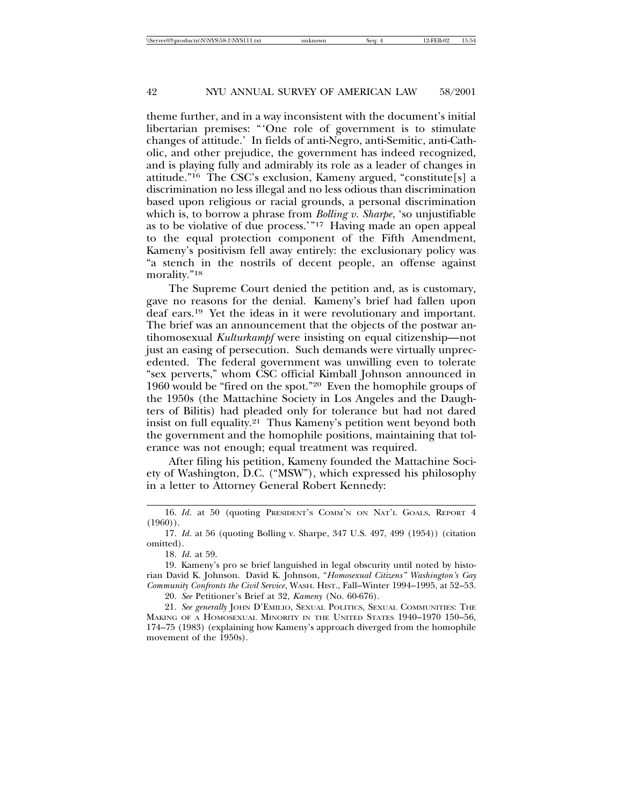theme further, and in a way inconsistent with the document's initial libertarian premises: "'One role of government is to stimulate changes of attitude.' In fields of anti-Negro, anti-Semitic, anti-Catholic, and other prejudice, the government has indeed recognized, and is playing fully and admirably its role as a leader of changes in attitude."16 The CSC's exclusion, Kameny argued, "constitute[s] a discrimination no less illegal and no less odious than discrimination based upon religious or racial grounds, a personal discrimination which is, to borrow a phrase from *Bolling v. Sharpe*, 'so unjustifiable as to be violative of due process.'"17 Having made an open appeal to the equal protection component of the Fifth Amendment, Kameny's positivism fell away entirely: the exclusionary policy was "a stench in the nostrils of decent people, an offense against morality."18

The Supreme Court denied the petition and, as is customary, gave no reasons for the denial. Kameny's brief had fallen upon deaf ears.19 Yet the ideas in it were revolutionary and important. The brief was an announcement that the objects of the postwar antihomosexual *Kulturkampf* were insisting on equal citizenship—not just an easing of persecution. Such demands were virtually unprecedented. The federal government was unwilling even to tolerate "sex perverts," whom CSC official Kimball Johnson announced in 1960 would be "fired on the spot."20 Even the homophile groups of the 1950s (the Mattachine Society in Los Angeles and the Daughters of Bilitis) had pleaded only for tolerance but had not dared insist on full equality.21 Thus Kameny's petition went beyond both the government and the homophile positions, maintaining that tolerance was not enough; equal treatment was required.

After filing his petition, Kameny founded the Mattachine Society of Washington, D.C. ("MSW"), which expressed his philosophy in a letter to Attorney General Robert Kennedy:

<sup>16.</sup> *Id.* at 50 (quoting PRESIDENT'S COMM'N ON NAT'L GOALS, REPORT 4  $(1960)$ ).

<sup>17.</sup> *Id*. at 56 (quoting Bolling v. Sharpe, 347 U.S. 497, 499 (1954)) (citation omitted).

<sup>18.</sup> *Id*. at 59.

<sup>19.</sup> Kameny's pro se brief languished in legal obscurity until noted by historian David K. Johnson. David K. Johnson, "*Homosexual Citizens" Washington's Gay Community Confronts the Civil Service*, WASH. HIST., Fall–Winter 1994–1995, at 52–53.

<sup>20.</sup> *See* Petitioner's Brief at 32, *Kameny* (No. 60-676).

<sup>21.</sup> *See generally* JOHN D'EMILIO, SEXUAL POLITICS, SEXUAL COMMUNITIES: THE MAKING OF A HOMOSEXUAL MINORITY IN THE UNITED STATES 1940–1970 150–56, 174–75 (1983) (explaining how Kameny's approach diverged from the homophile movement of the 1950s).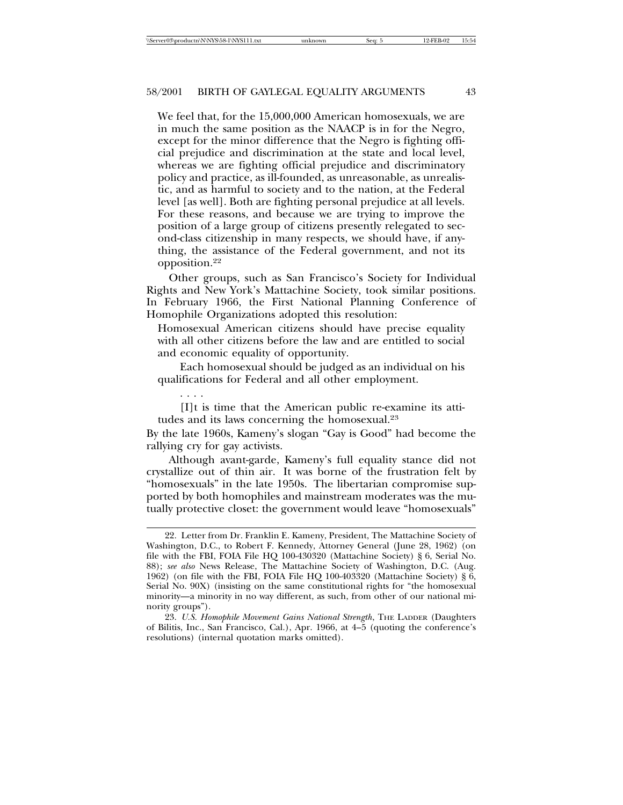We feel that, for the 15,000,000 American homosexuals, we are in much the same position as the NAACP is in for the Negro, except for the minor difference that the Negro is fighting official prejudice and discrimination at the state and local level, whereas we are fighting official prejudice and discriminatory policy and practice, as ill-founded, as unreasonable, as unrealistic, and as harmful to society and to the nation, at the Federal level [as well]. Both are fighting personal prejudice at all levels. For these reasons, and because we are trying to improve the position of a large group of citizens presently relegated to second-class citizenship in many respects, we should have, if anything, the assistance of the Federal government, and not its opposition.22

Other groups, such as San Francisco's Society for Individual Rights and New York's Mattachine Society, took similar positions. In February 1966, the First National Planning Conference of Homophile Organizations adopted this resolution:

Homosexual American citizens should have precise equality with all other citizens before the law and are entitled to social and economic equality of opportunity.

Each homosexual should be judged as an individual on his qualifications for Federal and all other employment.

. . . .

[I]t is time that the American public re-examine its attitudes and its laws concerning the homosexual.23

By the late 1960s, Kameny's slogan "Gay is Good" had become the rallying cry for gay activists.

Although avant-garde, Kameny's full equality stance did not crystallize out of thin air. It was borne of the frustration felt by "homosexuals" in the late 1950s. The libertarian compromise supported by both homophiles and mainstream moderates was the mutually protective closet: the government would leave "homosexuals"

<sup>22.</sup> Letter from Dr. Franklin E. Kameny, President, The Mattachine Society of Washington, D.C., to Robert F. Kennedy, Attorney General (June 28, 1962) (on file with the FBI, FOIA File HQ 100-430320 (Mattachine Society) § 6, Serial No. 88); *see also* News Release, The Mattachine Society of Washington, D.C. (Aug. 1962) (on file with the FBI, FOIA File HQ 100-403320 (Mattachine Society) § 6, Serial No. 90X) (insisting on the same constitutional rights for "the homosexual minority—a minority in no way different, as such, from other of our national minority groups").

<sup>23.</sup> *U.S. Homophile Movement Gains National Strength*, THE LADDER (Daughters of Bilitis, Inc., San Francisco, Cal.), Apr. 1966, at 4–5 (quoting the conference's resolutions) (internal quotation marks omitted).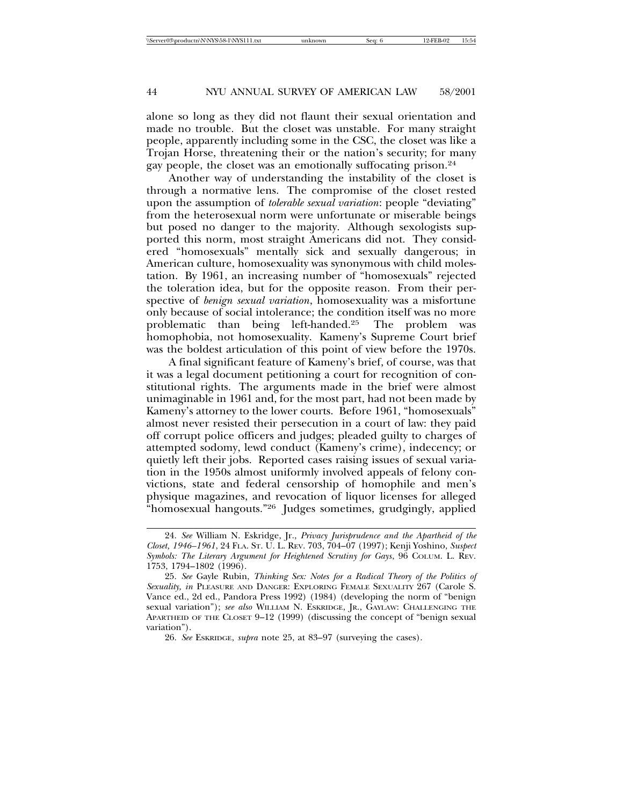alone so long as they did not flaunt their sexual orientation and made no trouble. But the closet was unstable. For many straight people, apparently including some in the CSC, the closet was like a Trojan Horse, threatening their or the nation's security; for many gay people, the closet was an emotionally suffocating prison.<sup>24</sup>

Another way of understanding the instability of the closet is through a normative lens. The compromise of the closet rested upon the assumption of *tolerable sexual variation*: people "deviating" from the heterosexual norm were unfortunate or miserable beings but posed no danger to the majority. Although sexologists supported this norm, most straight Americans did not. They considered "homosexuals" mentally sick and sexually dangerous; in American culture, homosexuality was synonymous with child molestation. By 1961, an increasing number of "homosexuals" rejected the toleration idea, but for the opposite reason. From their perspective of *benign sexual variation*, homosexuality was a misfortune only because of social intolerance; the condition itself was no more problematic than being left-handed.25 The problem was homophobia, not homosexuality. Kameny's Supreme Court brief was the boldest articulation of this point of view before the 1970s.

A final significant feature of Kameny's brief, of course, was that it was a legal document petitioning a court for recognition of constitutional rights. The arguments made in the brief were almost unimaginable in 1961 and, for the most part, had not been made by Kameny's attorney to the lower courts. Before 1961, "homosexuals" almost never resisted their persecution in a court of law: they paid off corrupt police officers and judges; pleaded guilty to charges of attempted sodomy, lewd conduct (Kameny's crime), indecency; or quietly left their jobs. Reported cases raising issues of sexual variation in the 1950s almost uniformly involved appeals of felony convictions, state and federal censorship of homophile and men's physique magazines, and revocation of liquor licenses for alleged "homosexual hangouts."26 Judges sometimes, grudgingly, applied

<sup>24.</sup> *See* William N. Eskridge, Jr., *Privacy Jurisprudence and the Apartheid of the Closet, 1946–1961*, 24 FLA. ST. U. L. REV. 703, 704–07 (1997); Kenji Yoshino, *Suspect Symbols: The Literary Argument for Heightened Scrutiny for Gays*, 96 COLUM. L. REV. 1753, 1794–1802 (1996).

<sup>25.</sup> *See* Gayle Rubin, *Thinking Sex: Notes for a Radical Theory of the Politics of Sexuality, in* PLEASURE AND DANGER: EXPLORING FEMALE SEXUALITY 267 (Carole S. Vance ed., 2d ed., Pandora Press 1992) (1984) (developing the norm of "benign sexual variation"); *see also* WILLIAM N. ESKRIDGE, JR., GAYLAW: CHALLENGING THE APARTHEID OF THE CLOSET 9–12 (1999) (discussing the concept of "benign sexual variation").

<sup>26.</sup> *See* ESKRIDGE, *supra* note 25, at 83–97 (surveying the cases).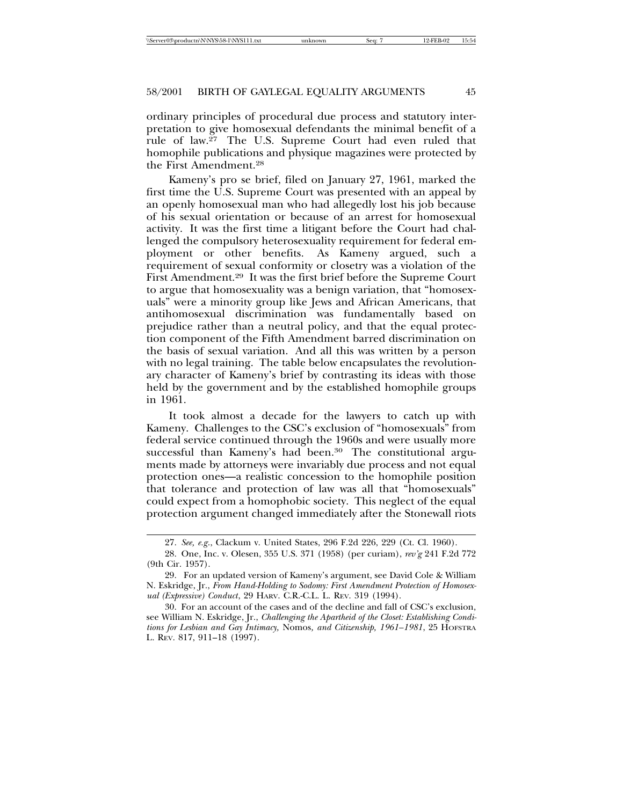ordinary principles of procedural due process and statutory interpretation to give homosexual defendants the minimal benefit of a rule of law.27 The U.S. Supreme Court had even ruled that homophile publications and physique magazines were protected by the First Amendment.28

Kameny's pro se brief, filed on January 27, 1961, marked the first time the U.S. Supreme Court was presented with an appeal by an openly homosexual man who had allegedly lost his job because of his sexual orientation or because of an arrest for homosexual activity. It was the first time a litigant before the Court had challenged the compulsory heterosexuality requirement for federal employment or other benefits. As Kameny argued, such a requirement of sexual conformity or closetry was a violation of the First Amendment.29 It was the first brief before the Supreme Court to argue that homosexuality was a benign variation, that "homosexuals" were a minority group like Jews and African Americans, that antihomosexual discrimination was fundamentally based on prejudice rather than a neutral policy, and that the equal protection component of the Fifth Amendment barred discrimination on the basis of sexual variation. And all this was written by a person with no legal training. The table below encapsulates the revolutionary character of Kameny's brief by contrasting its ideas with those held by the government and by the established homophile groups in 1961.

It took almost a decade for the lawyers to catch up with Kameny. Challenges to the CSC's exclusion of "homosexuals" from federal service continued through the 1960s and were usually more successful than Kameny's had been.<sup>30</sup> The constitutional arguments made by attorneys were invariably due process and not equal protection ones—a realistic concession to the homophile position that tolerance and protection of law was all that "homosexuals" could expect from a homophobic society. This neglect of the equal protection argument changed immediately after the Stonewall riots

<sup>27.</sup> *See, e.g*., Clackum v. United States, 296 F.2d 226, 229 (Ct. Cl. 1960).

<sup>28.</sup> One, Inc. v. Olesen, 355 U.S. 371 (1958) (per curiam), *rev'g* 241 F.2d 772 (9th Cir. 1957).

<sup>29.</sup> For an updated version of Kameny's argument, see David Cole & William N. Eskridge, Jr., *From Hand-Holding to Sodomy: First Amendment Protection of Homosexual (Expressive) Conduct*, 29 HARV. C.R.-C.L. L. REV. 319 (1994).

<sup>30.</sup> For an account of the cases and of the decline and fall of CSC's exclusion, see William N. Eskridge, Jr., *Challenging the Apartheid of the Closet: Establishing Conditions for Lesbian and Gay Intimacy,* Nomos*, and Citizenship, 1961–1981*, 25 HOFSTRA L. REV. 817, 911–18 (1997).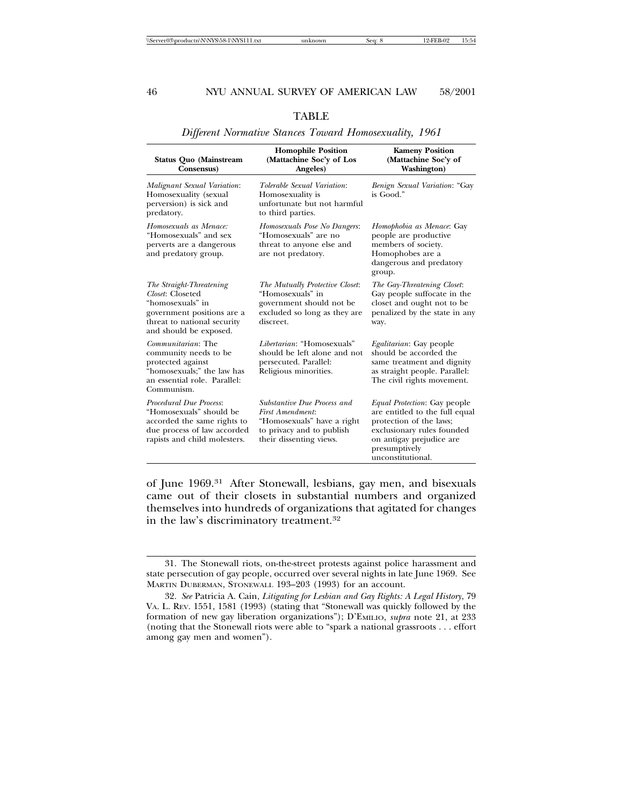#### **Homophile Position**<br> **Mattachine Soc'y of Los** (Mattachine Soc'y of **Status Quo (Mainstream (Mattachine Soc'y of Los Consensus)** Angeles) **Washington**) *Malignant Sexual Variation*: *Tolerable Sexual Variation*: *Benign Sexual Variation*: "Gay Homosexuality (sexual Homosexuality is is Good." perversion) is sick and unfortunate but not harmful predatory. to third parties. *Homosexuals as Menace: Homosexuals Pose No Dangers*: *Homophobia as Menace*: Gay "Homosexuals" and sex "Homosexuals" are no people are productive perverts are a dangerous threat to anyone else and members of society. threat to anyone else and and predatory group. are not predatory. Homophobes are a dangerous and predatory group. *The Straight-Threatening The Mutually Protective Closet*: *The Gay-Threatening Closet*: *Closet:* Closeted "Homosexuals" in Gay people suffocate in the "homosexuals" in government should not be closet and ought not to be "homosexuals" in government should not be government positions are a excluded so long as they an excluded so long as they are penalized by the state in any threat to national security discreet. way. and should be exposed. *Communitarian*: The *Libertarian*: "Homosexuals" *Egalitarian*: Gay people community needs to be should be left alone and not should be accorded the protected against persecuted. Parallel: same treatment and dig same treatment and dignity "homosexuals;" the law has Religious minorities. as straight people. Parallel: an essential role. Parallel: The civil rights movement. Communism. *Procedural Due Process*: *Substantive Due Process and Equal Protection*: Gay people "Homosexuals" should be *First Amendment*: are entitled to the full equal "Homosexuals" have a right due process of law accorded to privacy and to publish exclusionary rules founded rapists and child molesters. their dissenting views. on antigay prejudice are presumptively unconstitutional.

## TABLE *Different Normative Stances Toward Homosexuality, 1961*

of June 1969.31 After Stonewall, lesbians, gay men, and bisexuals came out of their closets in substantial numbers and organized themselves into hundreds of organizations that agitated for changes in the law's discriminatory treatment.32

<sup>31.</sup> The Stonewall riots, on-the-street protests against police harassment and state persecution of gay people, occurred over several nights in late June 1969. See MARTIN DUBERMAN, STONEWALL 193–203 (1993) for an account.

<sup>32.</sup> *See* Patricia A. Cain, *Litigating for Lesbian and Gay Rights: A Legal History*, 79 VA. L. REV. 1551, 1581 (1993) (stating that "Stonewall was quickly followed by the formation of new gay liberation organizations"); D'EMILIO, *supra* note 21, at 233 (noting that the Stonewall riots were able to "spark a national grassroots . . . effort among gay men and women").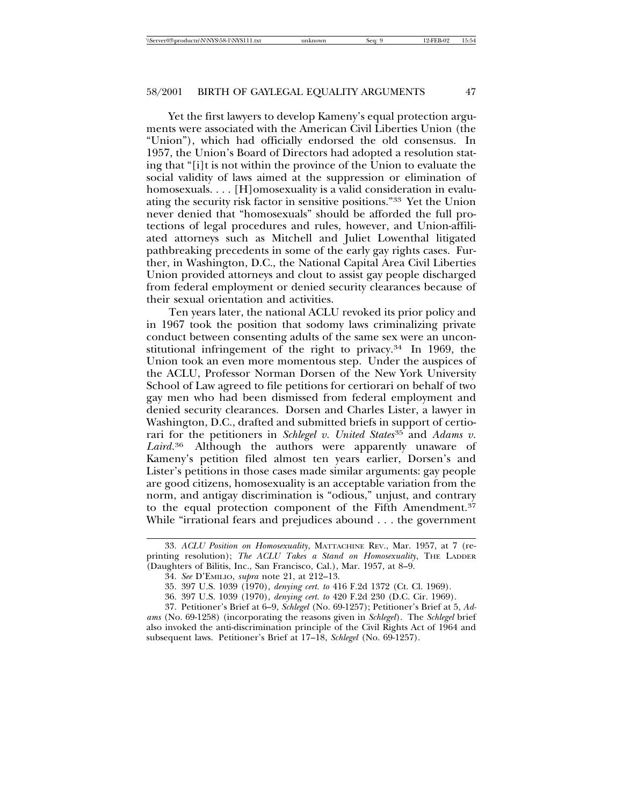Yet the first lawyers to develop Kameny's equal protection arguments were associated with the American Civil Liberties Union (the "Union"), which had officially endorsed the old consensus. In 1957, the Union's Board of Directors had adopted a resolution stating that "[i]t is not within the province of the Union to evaluate the social validity of laws aimed at the suppression or elimination of homosexuals. . . . [H]omosexuality is a valid consideration in evaluating the security risk factor in sensitive positions."33 Yet the Union never denied that "homosexuals" should be afforded the full protections of legal procedures and rules, however, and Union-affiliated attorneys such as Mitchell and Juliet Lowenthal litigated pathbreaking precedents in some of the early gay rights cases. Further, in Washington, D.C., the National Capital Area Civil Liberties Union provided attorneys and clout to assist gay people discharged from federal employment or denied security clearances because of their sexual orientation and activities.

Ten years later, the national ACLU revoked its prior policy and in 1967 took the position that sodomy laws criminalizing private conduct between consenting adults of the same sex were an unconstitutional infringement of the right to privacy.34 In 1969, the Union took an even more momentous step. Under the auspices of the ACLU, Professor Norman Dorsen of the New York University School of Law agreed to file petitions for certiorari on behalf of two gay men who had been dismissed from federal employment and denied security clearances. Dorsen and Charles Lister, a lawyer in Washington, D.C., drafted and submitted briefs in support of certiorari for the petitioners in *Schlegel v. United States*35 and *Adams v. Laird*. Although the authors were apparently unaware of Kameny's petition filed almost ten years earlier, Dorsen's and Lister's petitions in those cases made similar arguments: gay people are good citizens, homosexuality is an acceptable variation from the norm, and antigay discrimination is "odious," unjust, and contrary to the equal protection component of the Fifth Amendment.37 While "irrational fears and prejudices abound . . . the government

<sup>33.</sup> *ACLU Position on Homosexuality*, MATTACHINE REV., Mar. 1957, at 7 (reprinting resolution); *The ACLU Takes a Stand on Homosexuality*, THE LADDER (Daughters of Bilitis, Inc., San Francisco, Cal.), Mar. 1957, at 8–9.

<sup>34.</sup> *See* D'EMILIO, *supra* note 21, at 212–13.

<sup>35. 397</sup> U.S. 1039 (1970), *denying cert. to* 416 F.2d 1372 (Ct. Cl. 1969).

<sup>36. 397</sup> U.S. 1039 (1970), *denying cert. to* 420 F.2d 230 (D.C. Cir. 1969).

<sup>37.</sup> Petitioner's Brief at 6–9, *Schlegel* (No. 69-1257); Petitioner's Brief at 5, *Adams* (No. 69-1258) (incorporating the reasons given in *Schlegel*). The *Schlegel* brief also invoked the anti-discrimination principle of the Civil Rights Act of 1964 and subsequent laws. Petitioner's Brief at 17–18, *Schlegel* (No. 69-1257).